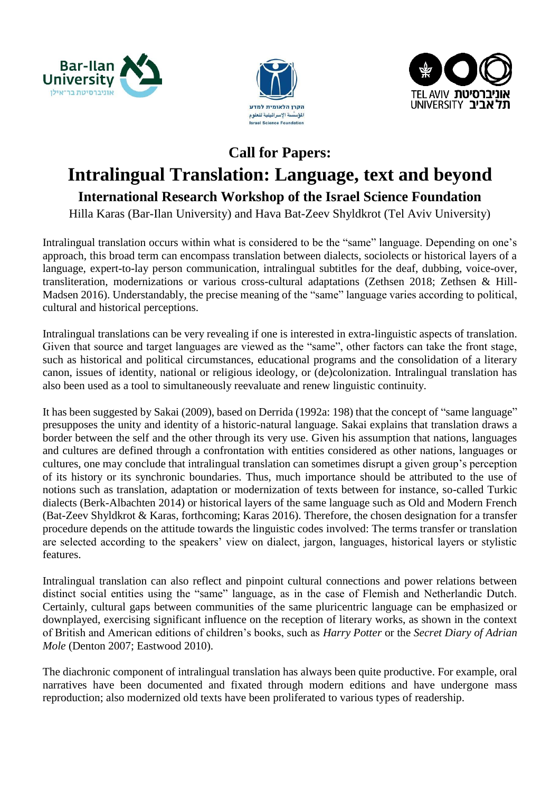





## **Call for Papers:**

# **Intralingual Translation: Language, text and beyond**

## **International Research Workshop of the Israel Science Foundation**

Hilla Karas (Bar-Ilan University) and Hava Bat-Zeev Shyldkrot (Tel Aviv University)

Intralingual translation occurs within what is considered to be the "same" language. Depending on one's approach, this broad term can encompass translation between dialects, sociolects or historical layers of a language, expert-to-lay person communication, intralingual subtitles for the deaf, dubbing, voice-over, transliteration, modernizations or various cross-cultural adaptations (Zethsen 2018; Zethsen & Hill-Madsen 2016). Understandably, the precise meaning of the "same" language varies according to political, cultural and historical perceptions.

Intralingual translations can be very revealing if one is interested in extra-linguistic aspects of translation. Given that source and target languages are viewed as the "same", other factors can take the front stage, such as historical and political circumstances, educational programs and the consolidation of a literary canon, issues of identity, national or religious ideology, or (de)colonization. Intralingual translation has also been used as a tool to simultaneously reevaluate and renew linguistic continuity.

It has been suggested by Sakai (2009), based on Derrida (1992a: 198) that the concept of "same language" presupposes the unity and identity of a historic-natural language. Sakai explains that translation draws a border between the self and the other through its very use. Given his assumption that nations, languages and cultures are defined through a confrontation with entities considered as other nations, languages or cultures, one may conclude that intralingual translation can sometimes disrupt a given group's perception of its history or its synchronic boundaries. Thus, much importance should be attributed to the use of notions such as translation, adaptation or modernization of texts between for instance, so-called Turkic dialects (Berk-Albachten 2014) or historical layers of the same language such as Old and Modern French (Bat-Zeev Shyldkrot & Karas, forthcoming; Karas 2016). Therefore, the chosen designation for a transfer procedure depends on the attitude towards the linguistic codes involved: The terms transfer or translation are selected according to the speakers' view on dialect, jargon, languages, historical layers or stylistic features.

Intralingual translation can also reflect and pinpoint cultural connections and power relations between distinct social entities using the "same" language, as in the case of Flemish and Netherlandic Dutch. Certainly, cultural gaps between communities of the same pluricentric language can be emphasized or downplayed, exercising significant influence on the reception of literary works, as shown in the context of British and American editions of children's books, such as *Harry Potter* or the *Secret Diary of Adrian Mole* (Denton 2007; Eastwood 2010).

The diachronic component of intralingual translation has always been quite productive. For example, oral narratives have been documented and fixated through modern editions and have undergone mass reproduction; also modernized old texts have been proliferated to various types of readership.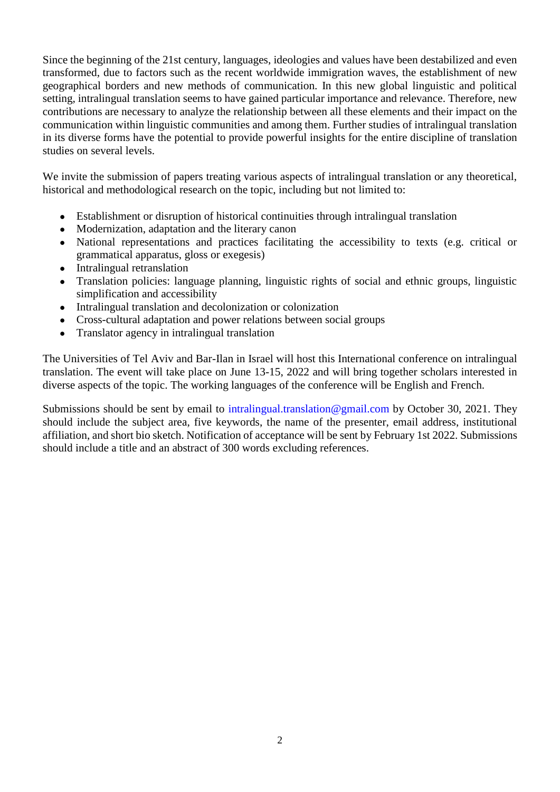Since the beginning of the 21st century, languages, ideologies and values have been destabilized and even transformed, due to factors such as the recent worldwide immigration waves, the establishment of new geographical borders and new methods of communication. In this new global linguistic and political setting, intralingual translation seems to have gained particular importance and relevance. Therefore, new contributions are necessary to analyze the relationship between all these elements and their impact on the communication within linguistic communities and among them. Further studies of intralingual translation in its diverse forms have the potential to provide powerful insights for the entire discipline of translation studies on several levels.

We invite the submission of papers treating various aspects of intralingual translation or any theoretical, historical and methodological research on the topic, including but not limited to:

- Establishment or disruption of historical continuities through intralingual translation
- Modernization, adaptation and the literary canon
- National representations and practices facilitating the accessibility to texts (e.g. critical or grammatical apparatus, gloss or exegesis)
- Intralingual retranslation
- Translation policies: language planning, linguistic rights of social and ethnic groups, linguistic simplification and accessibility
- Intralingual translation and decolonization or colonization
- Cross-cultural adaptation and power relations between social groups
- Translator agency in intralingual translation

The Universities of Tel Aviv and Bar-Ilan in Israel will host this International conference on intralingual translation. The event will take place on June 13-15, 2022 and will bring together scholars interested in diverse aspects of the topic. The working languages of the conference will be English and French.

Submissions should be sent by email to intralingual.translation@gmail.com by October 30, 2021. They should include the subject area, five keywords, the name of the presenter, email address, institutional affiliation, and short bio sketch. Notification of acceptance will be sent by February 1st 2022. Submissions should include a title and an abstract of 300 words excluding references.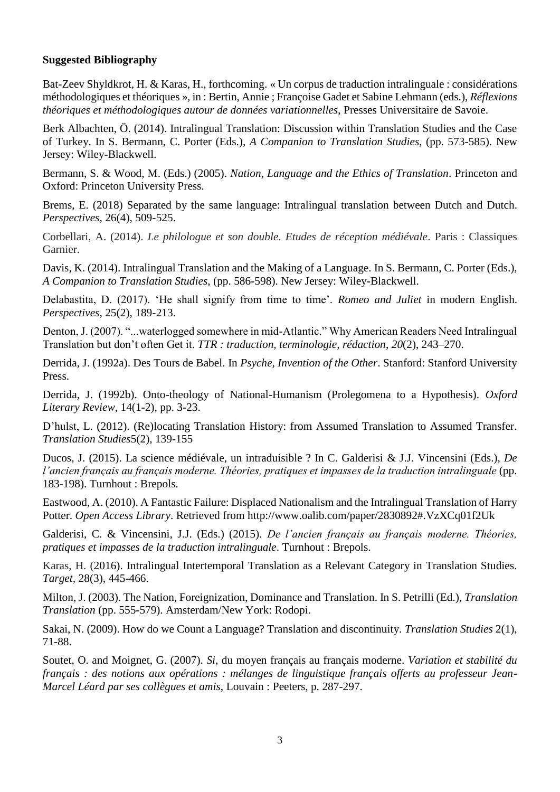## **Suggested Bibliography**

Bat-Zeev Shyldkrot, H. & Karas, H., forthcoming. « Un corpus de traduction intralinguale : considérations méthodologiques et théoriques », in : Bertin, Annie ; Françoise Gadet et Sabine Lehmann (eds.), *Réflexions théoriques et méthodologiques autour de données variationnelles*, Presses Universitaire de Savoie.

Berk Albachten, Ö. (2014). Intralingual Translation: Discussion within Translation Studies and the Case of Turkey. In S. Bermann, C. Porter (Eds.), *A Companion to Translation Studies*, (pp. 573-585). New Jersey: Wiley-Blackwell.

Bermann, S. & Wood, M. (Eds.) (2005). *Nation, Language and the Ethics of Translation*. Princeton and Oxford: Princeton University Press.

Brems, E. (2018) Separated by the same language: Intralingual translation between Dutch and Dutch. *Perspectives*, 26(4), 509-525.

Corbellari, A. (2014). *Le philologue et son double. Etudes de réception médiévale*. Paris : Classiques Garnier.

Davis, K. (2014). Intralingual Translation and the Making of a Language. In S. Bermann, C. Porter (Eds.), *A Companion to Translation Studies*, (pp. 586-598). New Jersey: Wiley-Blackwell.

Delabastita, D. (2017). 'He shall signify from time to time'. *Romeo and Juliet* in modern English. *Perspectives*, 25(2), 189-213.

Denton, J. (2007). "...waterlogged somewhere in mid-Atlantic." Why American Readers Need Intralingual Translation but don't often Get it. *TTR : traduction, terminologie, rédaction*, *20*(2), 243–270.

Derrida, J. (1992a). Des Tours de Babel. In *Psyche, Invention of the Other*. Stanford: Stanford University Press.

Derrida, J. (1992b). Onto-theology of National-Humanism (Prolegomena to a Hypothesis). *Oxford Literary Review,* 14(1-2), pp. 3-23.

D'hulst, L. (2012). (Re)locating Translation History: from Assumed Translation to Assumed Transfer. *Translation Studies*5(2), 139-155

Ducos, J. (2015). La science médiévale, un intraduisible ? In C. Galderisi & J.J. Vincensini (Eds.), *De l'ancien français au français moderne. Théories, pratiques et impasses de la traduction intralinguale* (pp. 183-198). Turnhout : Brepols.

Eastwood, A. (2010). A Fantastic Failure: Displaced Nationalism and the Intralingual Translation of Harry Potter. *Open Access Library*. Retrieved from http://www.oalib.com/paper/2830892#.VzXCq01f2Uk

Galderisi, C. & Vincensini, J.J. (Eds.) (2015). *De l'ancien français au français moderne. Théories, pratiques et impasses de la traduction intralinguale*. Turnhout : Brepols.

Karas, H. (2016). Intralingual Intertemporal Translation as a Relevant Category in Translation Studies. *Target,* 28(3), 445-466.

Milton, J. (2003). The Nation, Foreignization, Dominance and Translation. In S. Petrilli (Ed.), *Translation Translation* (pp. 555-579). Amsterdam/New York: Rodopi.

Sakai, N. (2009). How do we Count a Language? Translation and discontinuity. *Translation Studies* 2(1), 71-88.

Soutet, O. and Moignet, G. (2007). *Si*, du moyen français au français moderne. *Variation et stabilité du français : des notions aux opérations : mélanges de linguistique français offerts au professeur Jean-Marcel Léard par ses collègues et amis,* Louvain : Peeters, p. 287-297.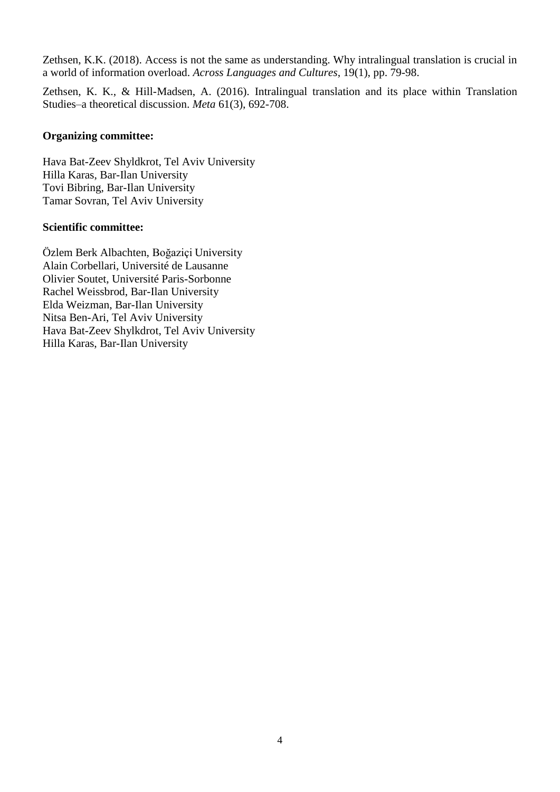Zethsen, K.K. (2018). Access is not the same as understanding. Why intralingual translation is crucial in a world of information overload. *Across Languages and Cultures*, 19(1), pp. 79-98.

Zethsen, K. K., & Hill-Madsen, A. (2016). Intralingual translation and its place within Translation Studies–a theoretical discussion. *Meta* 61(3), 692-708.

### **Organizing committee:**

Hava Bat-Zeev Shyldkrot, Tel Aviv University Hilla Karas, Bar-Ilan University Tovi Bibring, Bar-Ilan University Tamar Sovran, Tel Aviv University

## **Scientific committee:**

Özlem Berk Albachten, Boğaziçi University Alain Corbellari, Université de Lausanne Olivier Soutet, Université Paris-Sorbonne Rachel Weissbrod, Bar-Ilan University Elda Weizman, Bar-Ilan University Nitsa Ben-Ari, Tel Aviv University Hava Bat-Zeev Shylkdrot, Tel Aviv University Hilla Karas, Bar-Ilan University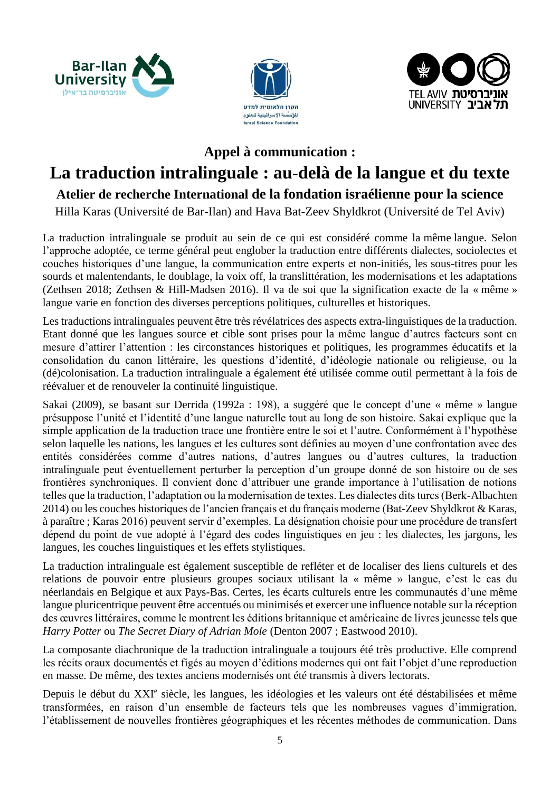





## **Appel à communication :**

# **La traduction intralinguale : au**-**delà de la langue et du texte**

## **Atelier de recherche International de la fondation israélienne pour la science**

Hilla Karas (Université de Bar-Ilan) and Hava Bat-Zeev Shyldkrot (Université de Tel Aviv)

La traduction intralinguale se produit au sein de ce qui est considéré comme la même langue. Selon l'approche adoptée, ce terme général peut englober la traduction entre différents dialectes, sociolectes et couches historiques d'une langue, la communication entre experts et non-initiés, les sous-titres pour les sourds et malentendants, le doublage, la voix off, la translittération, les modernisations et les adaptations (Zethsen 2018; Zethsen & Hill-Madsen 2016). Il va de soi que la signification exacte de la « même » langue varie en fonction des diverses perceptions politiques, culturelles et historiques.

Les traductions intralinguales peuvent être très révélatrices des aspects extra-linguistiques de la traduction. Etant donné que les langues source et cible sont prises pour la même langue d'autres facteurs sont en mesure d'attirer l'attention : les circonstances historiques et politiques, les programmes éducatifs et la consolidation du canon littéraire, les questions d'identité, d'idéologie nationale ou religieuse, ou la (dé)colonisation. La traduction intralinguale a également été utilisée comme outil permettant à la fois de réévaluer et de renouveler la continuité linguistique.

Sakai (2009), se basant sur Derrida (1992a : 198), a suggéré que le concept d'une « même » langue présuppose l'unité et l'identité d'une langue naturelle tout au long de son histoire. Sakai explique que la simple application de la traduction trace une frontière entre le soi et l'autre. Conformément à l'hypothèse selon laquelle les nations, les langues et les cultures sont définies au moyen d'une confrontation avec des entités considérées comme d'autres nations, d'autres langues ou d'autres cultures, la traduction intralinguale peut éventuellement perturber la perception d'un groupe donné de son histoire ou de ses frontières synchroniques. Il convient donc d'attribuer une grande importance à l'utilisation de notions telles que la traduction, l'adaptation ou la modernisation de textes. Les dialectes dits turcs (Berk-Albachten 2014) ou les couches historiques de l'ancien français et du français moderne (Bat-Zeev Shyldkrot & Karas, à paraître ; Karas 2016) peuvent servir d'exemples. La désignation choisie pour une procédure de transfert dépend du point de vue adopté à l'égard des codes linguistiques en jeu : les dialectes, les jargons, les langues, les couches linguistiques et les effets stylistiques.

La traduction intralinguale est également susceptible de refléter et de localiser des liens culturels et des relations de pouvoir entre plusieurs groupes sociaux utilisant la « même » langue, c'est le cas du néerlandais en Belgique et aux Pays-Bas. Certes, les écarts culturels entre les communautés d'une même langue pluricentrique peuvent être accentués ou minimisés et exercer une influence notable sur la réception des œuvres littéraires, comme le montrent les éditions britannique et américaine de livres jeunesse tels que *Harry Potter* ou *The Secret Diary of Adrian Mole* (Denton 2007 ; Eastwood 2010).

La composante diachronique de la traduction intralinguale a toujours été très productive. Elle comprend les récits oraux documentés et figés au moyen d'éditions modernes qui ont fait l'objet d'une reproduction en masse. De même, des textes anciens modernisés ont été transmis à divers lectorats.

Depuis le début du XXI<sup>e</sup> siècle, les langues, les idéologies et les valeurs ont été déstabilisées et même transformées, en raison d'un ensemble de facteurs tels que les nombreuses vagues d'immigration, l'établissement de nouvelles frontières géographiques et les récentes méthodes de communication. Dans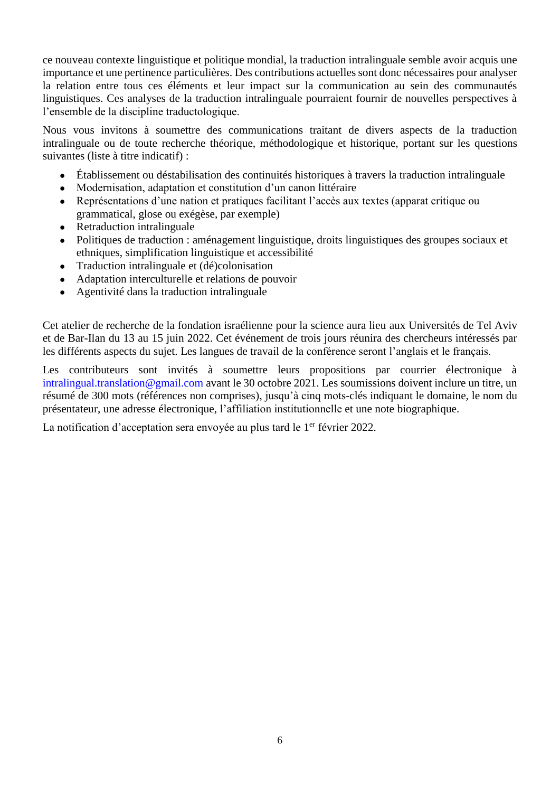ce nouveau contexte linguistique et politique mondial, la traduction intralinguale semble avoir acquis une importance et une pertinence particulières. Des contributions actuelles sont donc nécessaires pour analyser la relation entre tous ces éléments et leur impact sur la communication au sein des communautés linguistiques. Ces analyses de la traduction intralinguale pourraient fournir de nouvelles perspectives à l'ensemble de la discipline traductologique.

Nous vous invitons à soumettre des communications traitant de divers aspects de la traduction intralinguale ou de toute recherche théorique, méthodologique et historique, portant sur les questions suivantes (liste à titre indicatif) :

- Établissement ou déstabilisation des continuités historiques à travers la traduction intralinguale
- Modernisation, adaptation et constitution d'un canon littéraire
- Représentations d'une nation et pratiques facilitant l'accès aux textes (apparat critique ou grammatical, glose ou exégèse, par exemple)
- Retraduction intralinguale
- Politiques de traduction : aménagement linguistique, droits linguistiques des groupes sociaux et ethniques, simplification linguistique et accessibilité
- Traduction intralinguale et (dé)colonisation
- Adaptation interculturelle et relations de pouvoir
- Agentivité dans la traduction intralinguale

Cet atelier de recherche de la fondation israélienne pour la science aura lieu aux Universités de Tel Aviv et de Bar-Ilan du 13 au 15 juin 2022. Cet événement de trois jours réunira des chercheurs intéressés par les différents aspects du sujet. Les langues de travail de la conférence seront l'anglais et le français.

Les contributeurs sont invités à soumettre leurs propositions par courrier électronique à intralingual.translation@gmail.com avant le 30 octobre 2021. Les soumissions doivent inclure un titre, un résumé de 300 mots (références non comprises), jusqu'à cinq mots-clés indiquant le domaine, le nom du présentateur, une adresse électronique, l'affiliation institutionnelle et une note biographique.

La notification d'acceptation sera envoyée au plus tard le 1<sup>er</sup> février 2022.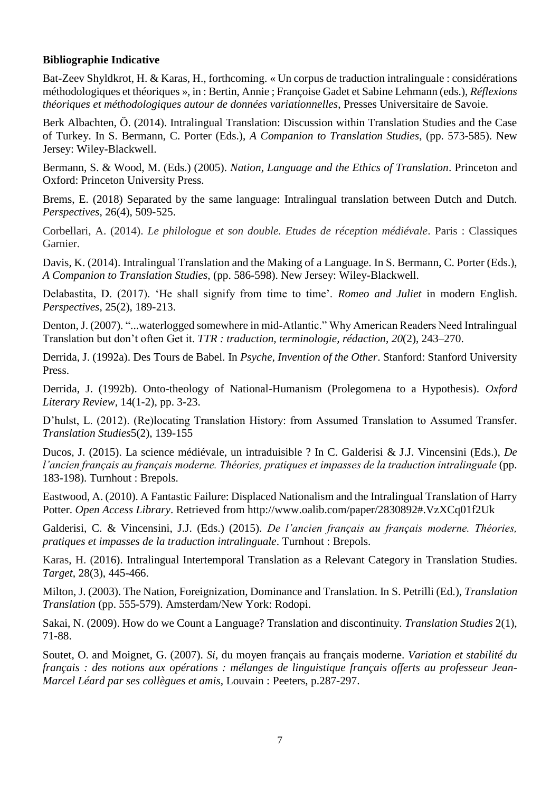## **Bibliographie Indicative**

Bat-Zeev Shyldkrot, H. & Karas, H., forthcoming. « Un corpus de traduction intralinguale : considérations méthodologiques et théoriques », in : Bertin, Annie ; Françoise Gadet et Sabine Lehmann (eds.), *Réflexions théoriques et méthodologiques autour de données variationnelles*, Presses Universitaire de Savoie.

Berk Albachten, Ö. (2014). Intralingual Translation: Discussion within Translation Studies and the Case of Turkey. In S. Bermann, C. Porter (Eds.), *A Companion to Translation Studies*, (pp. 573-585). New Jersey: Wiley-Blackwell.

Bermann, S. & Wood, M. (Eds.) (2005). *Nation, Language and the Ethics of Translation*. Princeton and Oxford: Princeton University Press.

Brems, E. (2018) Separated by the same language: Intralingual translation between Dutch and Dutch. *Perspectives*, 26(4), 509-525.

Corbellari, A. (2014). *Le philologue et son double. Etudes de réception médiévale*. Paris : Classiques Garnier.

Davis, K. (2014). Intralingual Translation and the Making of a Language. In S. Bermann, C. Porter (Eds.), *A Companion to Translation Studies*, (pp. 586-598). New Jersey: Wiley-Blackwell.

Delabastita, D. (2017). 'He shall signify from time to time'. *Romeo and Juliet* in modern English. *Perspectives*, 25(2), 189-213.

Denton, J. (2007). "...waterlogged somewhere in mid-Atlantic." Why American Readers Need Intralingual Translation but don't often Get it. *TTR : traduction, terminologie, rédaction*, *20*(2), 243–270.

Derrida, J. (1992a). Des Tours de Babel. In *Psyche, Invention of the Other*. Stanford: Stanford University Press.

Derrida, J. (1992b). Onto-theology of National-Humanism (Prolegomena to a Hypothesis). *Oxford Literary Review,* 14(1-2), pp. 3-23.

D'hulst, L. (2012). (Re)locating Translation History: from Assumed Translation to Assumed Transfer. *Translation Studies*5(2), 139-155

Ducos, J. (2015). La science médiévale, un intraduisible ? In C. Galderisi & J.J. Vincensini (Eds.), *De l'ancien français au français moderne. Théories, pratiques et impasses de la traduction intralinguale* (pp. 183-198). Turnhout : Brepols.

Eastwood, A. (2010). A Fantastic Failure: Displaced Nationalism and the Intralingual Translation of Harry Potter. *Open Access Library*. Retrieved from http://www.oalib.com/paper/2830892#.VzXCq01f2Uk

Galderisi, C. & Vincensini, J.J. (Eds.) (2015). *De l'ancien français au français moderne. Théories, pratiques et impasses de la traduction intralinguale*. Turnhout : Brepols.

Karas, H. (2016). Intralingual Intertemporal Translation as a Relevant Category in Translation Studies. *Target,* 28(3), 445-466.

Milton, J. (2003). The Nation, Foreignization, Dominance and Translation. In S. Petrilli (Ed.), *Translation Translation* (pp. 555-579). Amsterdam/New York: Rodopi.

Sakai, N. (2009). How do we Count a Language? Translation and discontinuity. *Translation Studies* 2(1), 71-88.

Soutet, O. and Moignet, G. (2007). *Si*, du moyen français au français moderne. *Variation et stabilité du français : des notions aux opérations : mélanges de linguistique français offerts au professeur Jean-Marcel Léard par ses collègues et amis,* Louvain : Peeters, p.287-297.